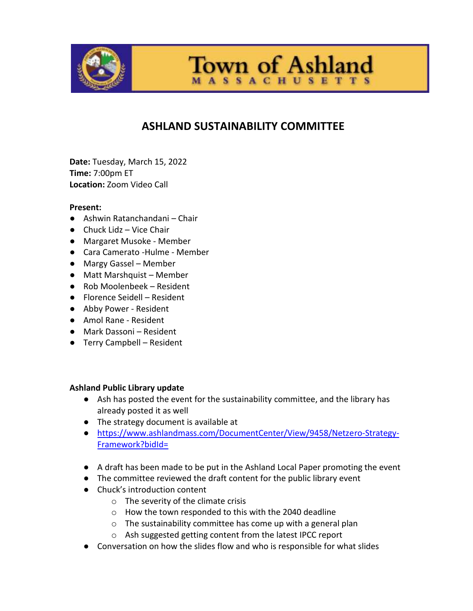

**Town of Ashland** 

**ASSACHUSETTS** 

# **ASHLAND SUSTAINABILITY COMMITTEE**

**Date:** Tuesday, March 15, 2022 **Time:** 7:00pm ET **Location:** Zoom Video Call

### **Present:**

- Ashwin Ratanchandani Chair
- $\bullet$  Chuck Lidz Vice Chair
- Margaret Musoke Member
- Cara Camerato -Hulme Member
- Margy Gassel Member
- Matt Marshquist Member
- Rob Moolenbeek Resident
- Florence Seidell Resident
- Abby Power Resident
- Amol Rane Resident
- Mark Dassoni Resident
- Terry Campbell Resident

### **Ashland Public Library update**

- Ash has posted the event for the sustainability committee, and the library has already posted it as well
- The strategy document is available at
- [https://www.ashlandmass.com/DocumentCenter/View/9458/Netzero-Strategy-](https://www.ashlandmass.com/DocumentCenter/View/9458/Netzero-Strategy-Framework?bidId=)[Framework?bidId=](https://www.ashlandmass.com/DocumentCenter/View/9458/Netzero-Strategy-Framework?bidId=)
- A draft has been made to be put in the Ashland Local Paper promoting the event
- The committee reviewed the draft content for the public library event
- Chuck's introduction content
	- o The severity of the climate crisis
	- o How the town responded to this with the 2040 deadline
	- o The sustainability committee has come up with a general plan
	- o Ash suggested getting content from the latest IPCC report
- Conversation on how the slides flow and who is responsible for what slides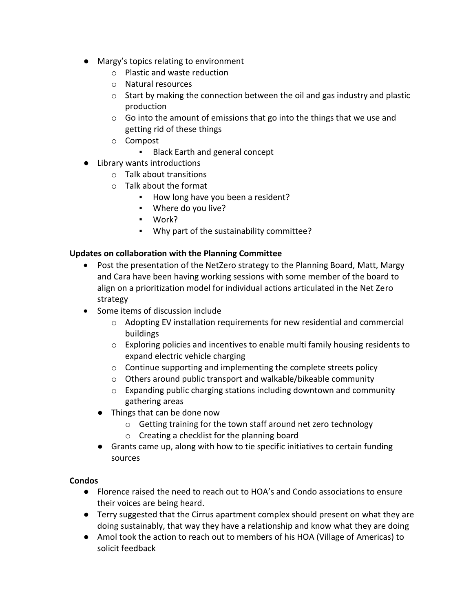- Margy's topics relating to environment
	- o Plastic and waste reduction
	- o Natural resources
	- $\circ$  Start by making the connection between the oil and gas industry and plastic production
	- o Go into the amount of emissions that go into the things that we use and getting rid of these things
	- o Compost
		- Black Earth and general concept
- Library wants introductions
	- o Talk about transitions
	- o Talk about the format
		- How long have you been a resident?
		- Where do you live?
		- Work?
		- Why part of the sustainability committee?

# **Updates on collaboration with the Planning Committee**

- Post the presentation of the NetZero strategy to the Planning Board, Matt, Margy and Cara have been having working sessions with some member of the board to align on a prioritization model for individual actions articulated in the Net Zero strategy
- Some items of discussion include
	- o Adopting EV installation requirements for new residential and commercial buildings
	- o Exploring policies and incentives to enable multi family housing residents to expand electric vehicle charging
	- o Continue supporting and implementing the complete streets policy
	- o Others around public transport and walkable/bikeable community
	- o Expanding public charging stations including downtown and community gathering areas
	- Things that can be done now
		- o Getting training for the town staff around net zero technology
		- o Creating a checklist for the planning board
	- Grants came up, along with how to tie specific initiatives to certain funding sources

# **Condos**

- Florence raised the need to reach out to HOA's and Condo associations to ensure their voices are being heard.
- Terry suggested that the Cirrus apartment complex should present on what they are doing sustainably, that way they have a relationship and know what they are doing
- Amol took the action to reach out to members of his HOA (Village of Americas) to solicit feedback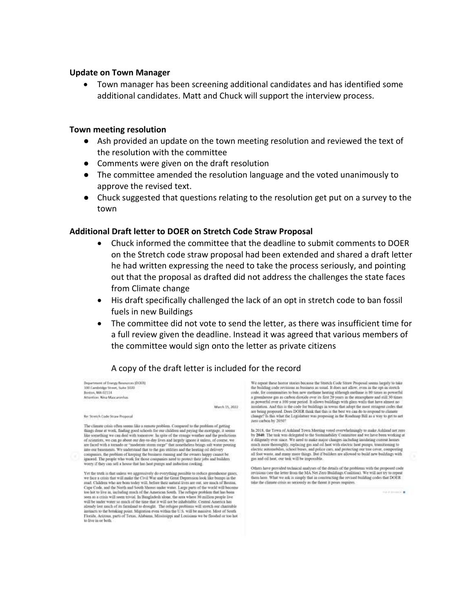#### **Update on Town Manager**

 Town manager has been screening additional candidates and has identified some additional candidates. Matt and Chuck will support the interview process.

#### **Town meeting resolution**

- Ash provided an update on the town meeting resolution and reviewed the text of the resolution with the committee
- Comments were given on the draft resolution
- The committee amended the resolution language and the voted unanimously to approve the revised text.
- Chuck suggested that questions relating to the resolution get put on a survey to the town

#### **Additional Draft letter to DOER on Stretch Code Straw Proposal**

- Chuck informed the committee that the deadline to submit comments to DOER on the Stretch code straw proposal had been extended and shared a draft letter he had written expressing the need to take the process seriously, and pointing out that the proposal as drafted did not address the challenges the state faces from Climate change
- His draft specifically challenged the lack of an opt in stretch code to ban fossil fuels in new Buildings
- The committee did not vote to send the letter, as there was insufficient time for a full review given the deadline. Instead it was agreed that various members of the committee would sign onto the letter as private citizens

### A copy of the draft letter is included for the record

Department of Energy Resources (DOER) 200 Cambridge Street, Suite 1020 Boston, MA 02114 Attention: New Mascurenhas

March 15, 2022

Re: Stretch Code Straw Proposal

The climate crisis often seems like a remote problem. Compared to the problem of getting things done at work, finding good schools for our children and paying the mortgage, it seems like something we can deal with tementw. In spite of the strange weather and the predictions of scientists, we can go about our day-to-day lives and largely ignore it unless, of course, we are faced with a tornado or "moderate storm surge" that nonetheless brings salt water pouring into our basements. We understand that to the gas utilities and the beating oil delivery companies, the problem of keeping the business rouning and the owners happy cannot be ignored. The people who work for those companies need to protect their jobs and builders weery if they can sell a howne that has heat pumps and induction cooking

Yet the truth is that unless we aggressively do everything possible to reduce greenhouse gases. we face a crisis that will make the Civil War and the Great Depression look like bumps in the road. Children who are born today will, before their natural lives are out, see much of Bouton, Cape Code, and the North and South Shores under water. Large parts of the world will become too hot to live an, archating much of the American South. The refugee problem that has been some as a crisis will seem trivial. I will be under water so much of the time that it will not be inhabitable. Central America has already lest much of its furnitual to drought. The refugee problems will speech our charitable instincts to the breaking point. Migration even within the U.S. will be massive. Most of South Florida, Acizona, parts of Texas to live in or both.

We repeat these horror steeles because the Stretch Code Straw Proposal seems largely to take the building code revisions as business as usual. It does not allow, even in the opt-in stretch  $\cosh$ , for communities to but new methone heating although methone is 50 times as powerful a greenhouse gas as carbon dioxide over its first 20 years in the atmosphere and still 30 times as powerful over a 100 year period to provide a state of the code for buildings in towns that adopt the most stringent codes that are being proposed. Does DOER that that this is the best we can do to respond to climate change? Is this what the Legislature w zeni carbon by 20507

In 2018, the Town of Ashland Town Meeting voted overwhelmingly to make Ashland net zero by 2040. The task was delegated to the Storiansbility Committee and we have been working at diligently ever since. We need to make major changes including instalring current homes much more thoroughly, replacing gas and oi electric automobiles, school buses, and police cars, and protecting our tree cover, composing all foot waste, and many more things. But if builders are allowed to build new buildings with gas and oil heat, our task will be

Others have provided technical analyses of the details of the problems with the proposed code sevisions (see the letter from the MA Net Zero Buildings Coalition). We will not uy to repeat them here. What we ask is simply that in constructing the revised building codes that DOER take the climate crisis as seriously as the threat it poses requires.

the statements of